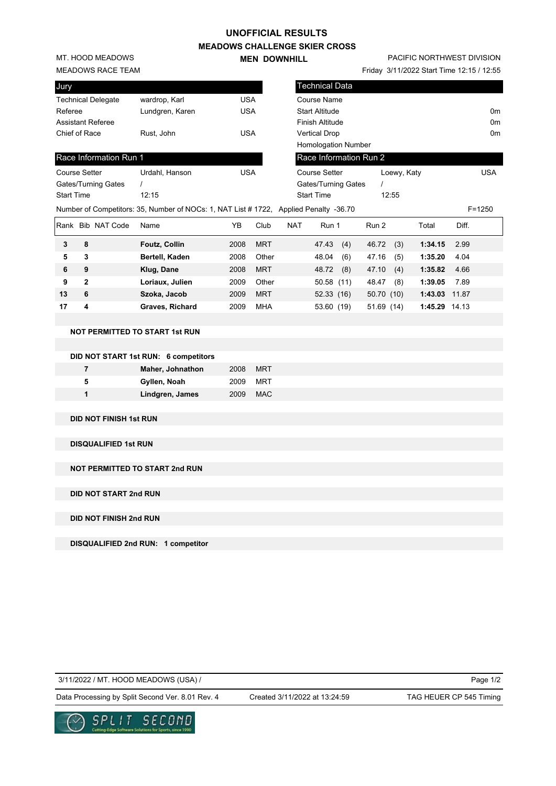## **UNOFFICIAL RESULTS**

**MEADOWS CHALLENGE SKIER CROSS MEN DOWNHILL** 

MT. HOOD MEADOWS

#### MEADOWS RACE TEAM

| Jury                      |                 |            |
|---------------------------|-----------------|------------|
| <b>Technical Delegate</b> | wardrop, Karl   | USA        |
| Referee                   | Lundgren, Karen | <b>USA</b> |
| <b>Assistant Referee</b>  |                 |            |
| Chief of Race             | Rust, John      | USA        |
|                           |                 |            |
| Race Information Run 1    |                 |            |

# PACIFIC NORTHWEST DIVISION

Friday 3/11/2022 Start Time 12:15 / 12:55

| Jury                      |                                                                                      |            |      |            | <b>Technical Data</b>      |             |       |                |
|---------------------------|--------------------------------------------------------------------------------------|------------|------|------------|----------------------------|-------------|-------|----------------|
| <b>Technical Delegate</b> | wardrop, Karl                                                                        | <b>USA</b> |      |            | Course Name                |             |       |                |
| Referee                   | Lundgren, Karen                                                                      | <b>USA</b> |      |            | <b>Start Altitude</b>      |             |       | 0 <sub>m</sub> |
| <b>Assistant Referee</b>  |                                                                                      |            |      |            | <b>Finish Altitude</b>     |             |       | 0 <sub>m</sub> |
| Chief of Race             | Rust, John                                                                           | <b>USA</b> |      |            | <b>Vertical Drop</b>       |             |       | 0 <sub>m</sub> |
|                           |                                                                                      |            |      |            | <b>Homologation Number</b> |             |       |                |
| Race Information Run 1    |                                                                                      |            |      |            | Race Information Run 2     |             |       |                |
| <b>Course Setter</b>      | Urdahl, Hanson                                                                       | <b>USA</b> |      |            | <b>Course Setter</b>       | Loewy, Katy |       | <b>USA</b>     |
| Gates/Turning Gates       |                                                                                      |            |      |            | Gates/Turning Gates        |             |       |                |
| <b>Start Time</b>         | 12:15                                                                                |            |      |            | <b>Start Time</b>          | 12:55       |       |                |
|                           | Number of Competitors: 35, Number of NOCs: 1, NAT List #1722, Applied Penalty -36.70 |            |      |            |                            |             |       | $F = 1250$     |
| Rank Bib NAT Code         | Name                                                                                 | YΒ         | Club | <b>NAT</b> | Run 1                      | Run 2       | Total | Diff.          |

| Rank |   | <b>Bib NAT Code</b> | Name                   | ΥB   | Club       | <b>NAT</b> | Run 1         | Run 2        | Total   | Diff. |
|------|---|---------------------|------------------------|------|------------|------------|---------------|--------------|---------|-------|
| 3    | 8 |                     | <b>Foutz, Collin</b>   | 2008 | <b>MRT</b> |            | (4)<br>47.43  | 46.72<br>(3) | 1:34.15 | 2.99  |
| 5    | 3 |                     | Bertell, Kaden         | 2008 | Other      |            | (6)<br>48.04  | (5)<br>47.16 | 1:35.20 | 4.04  |
| 6    | 9 |                     | Klug, Dane             | 2008 | <b>MRT</b> |            | (8)<br>48.72  | 47.10<br>(4) | 1:35.82 | 4.66  |
| 9    | 2 |                     | Loriaux, Julien        | 2009 | Other      |            | 50.58<br>(11) | (8)<br>48.47 | 1:39.05 | 7.89  |
| 13   | 6 |                     | Szoka, Jacob           | 2009 | <b>MRT</b> |            | 52.33(16)     | 50.70 (10)   | 1:43.03 | 11.87 |
| 17   | 4 |                     | <b>Graves, Richard</b> | 2009 | <b>MHA</b> |            | 53.60<br>(19) | 51.69 (14)   | 1:45.29 | 14.13 |

### **NOT PERMITTED TO START 1st RUN**

|   | DID NOT START 1st RUN: 6 competitors |      |      |  |
|---|--------------------------------------|------|------|--|
| 7 | <b>Maher, Johnathon</b>              | 2008 | MRT  |  |
| 5 | Gyllen, Noah                         | 2009 | MRT  |  |
| 1 | Lindgren, James                      | 2009 | MAC. |  |

#### **DID NOT FINISH 1st RUN**

**DISQUALIFIED 1st RUN**

**NOT PERMITTED TO START 2nd RUN**

**DID NOT START 2nd RUN**

**DID NOT FINISH 2nd RUN**

**DISQUALIFIED 2nd RUN: 1 competitor**

3/11/2022 / MT. HOOD MEADOWS (USA) /

Created 3/11/2022 at 13:24:59

Page 1/2

Data Processing by Split Second Ver. 8.01 Rev. 4 Created 3/11/2022 at 13:24:59 TAG HEUER CP 545 Timing